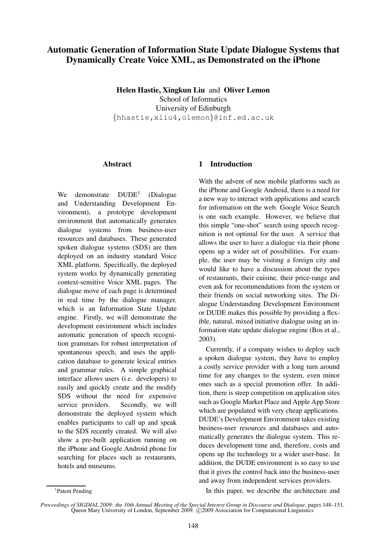# **Automatic Generation of Information State Update Dialogue Systems that Dynamically Create Voice XML, as Demonstrated on the iPhone**

**Helen Hastie, Xingkun Liu** and **Oliver Lemon** School of Informatics University of Edinburgh {hhastie,xliu4,olemon}@inf.ed.ac.uk

#### **Abstract**

We demonstrate  $DUDE<sup>1</sup>$ (Dialogue and Understanding Development Environment), a prototype development environment that automatically generates dialogue systems from business-user resources and databases. These generated spoken dialogue systems (SDS) are then deployed on an industry standard Voice XML platform. Specifically, the deployed system works by dynamically generating context-sensitive Voice XML pages. The dialogue move of each page is determined in real time by the dialogue manager, which is an Information State Update engine. Firstly, we will demonstrate the development environment which includes automatic generation of speech recognition grammars for robust interpretation of spontaneous speech, and uses the application database to generate lexical entries and grammar rules. A simple graphical interface allows users (i.e. developers) to easily and quickly create and the modify SDS without the need for expensive service providers. Secondly, we will demonstrate the deployed system which enables participants to call up and speak to the SDS recently created. We will also show a pre-built application running on the iPhone and Google Android phone for searching for places such as restaurants, hotels and museums.

## **1 Introduction**

With the advent of new mobile platforms such as the iPhone and Google Android, there is a need for a new way to interact with applications and search for information on the web. Google Voice Search is one such example. However, we believe that this simple "one-shot" search using speech recognition is not optimal for the user. A service that allows the user to have a dialogue via their phone opens up a wider set of possibilities. For example, the user may be visiting a foreign city and would like to have a discussion about the types of restaurants, their cuisine, their price-range and even ask for recommendations from the system or their friends on social networking sites. The Dialogue Understanding Development Environment or DUDE makes this possible by providing a flexible, natural, mixed initiative dialogue using an information state update dialogue engine (Bos et al., 2003).

Currently, if a company wishes to deploy such a spoken dialogue system, they have to employ a costly service provider with a long turn around time for any changes to the system, even minor ones such as a special promotion offer. In addition, there is steep competition on application sites such as Google Market Place and Apple App Store which are populated with very cheap applications. DUDE's Development Environment takes existing business-user resources and databases and automatically generates the dialogue system. This reduces development time and, therefore, costs and opens up the technology to a wider user-base. In addition, the DUDE environment is so easy to use that it gives the control back into the business-user and away from independent services providers.

In this paper, we describe the architecture and

<sup>&</sup>lt;sup>1</sup>Patent Pending

*Proceedings of SIGDIAL 2009: the 10th Annual Meeting of the Special Interest Group in Discourse and Dialogue*, pages 148–151, Queen Mary University of London, September 2009. © 2009 Association for Computational Linguistics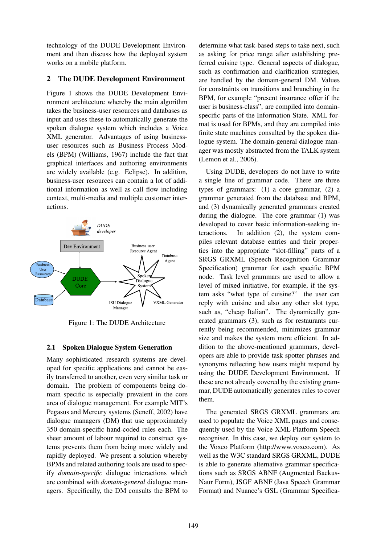technology of the DUDE Development Environment and then discuss how the deployed system works on a mobile platform.

### **2 The DUDE Development Environment**

Figure 1 shows the DUDE Development Environment architecture whereby the main algorithm takes the business-user resources and databases as input and uses these to automatically generate the spoken dialogue system which includes a Voice XML generator. Advantages of using businessuser resources such as Business Process Models (BPM) (Williams, 1967) include the fact that graphical interfaces and authoring environments are widely available (e.g. Eclipse). In addition, business-user resources can contain a lot of additional information as well as call flow including context, multi-media and multiple customer interactions.



Figure 1: The DUDE Architecture

### **2.1 Spoken Dialogue System Generation**

Many sophisticated research systems are developed for specific applications and cannot be easily transferred to another, even very similar task or domain. The problem of components being domain specific is especially prevalent in the core area of dialogue management. For example MIT's Pegasus and Mercury systems (Seneff, 2002) have dialogue managers (DM) that use approximately 350 domain-specific hand-coded rules each. The sheer amount of labour required to construct systems prevents them from being more widely and rapidly deployed. We present a solution whereby BPMs and related authoring tools are used to specify *domain-specific* dialogue interactions which are combined with *domain-general* dialogue managers. Specifically, the DM consults the BPM to determine what task-based steps to take next, such as asking for price range after establishing preferred cuisine type. General aspects of dialogue, such as confirmation and clarification strategies, are handled by the domain-general DM. Values for constraints on transitions and branching in the BPM, for example "present insurance offer if the user is business-class", are compiled into domainspecific parts of the Information State. XML format is used for BPMs, and they are compiled into finite state machines consulted by the spoken dialogue system. The domain-general dialogue manager was mostly abstracted from the TALK system (Lemon et al., 2006).

Using DUDE, developers do not have to write a single line of grammar code. There are three types of grammars: (1) a core grammar, (2) a grammar generated from the database and BPM, and (3) dynamically generated grammars created during the dialogue. The core grammar (1) was developed to cover basic information-seeking interactions. In addition (2), the system compiles relevant database entries and their properties into the appropriate "slot-filling" parts of a SRGS GRXML (Speech Recognition Grammar Specification) grammar for each specific BPM node. Task level grammars are used to allow a level of mixed initiative, for example, if the system asks "what type of cuisine?" the user can reply with cuisine and also any other slot type, such as, "cheap Italian". The dynamically generated grammars (3), such as for restaurants currently being recommended, minimizes grammar size and makes the system more efficient. In addition to the above-mentioned grammars, developers are able to provide task spotter phrases and synonyms reflecting how users might respond by using the DUDE Development Environment. If these are not already covered by the existing grammar, DUDE automatically generates rules to cover them.

The generated SRGS GRXML grammars are used to populate the Voice XML pages and consequently used by the Voice XML Platform Speech recogniser. In this case, we deploy our system to the Voxeo Platform (http://www.voxeo.com). As well as the W3C standard SRGS GRXML, DUDE is able to generate alternative grammar specifications such as SRGS ABNF (Augmented Backus-Naur Form), JSGF ABNF (Java Speech Grammar Format) and Nuance's GSL (Grammar Specifica-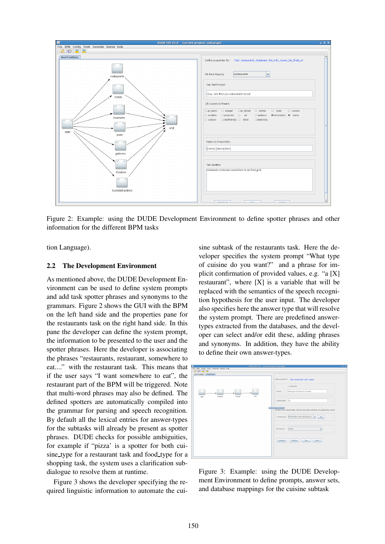

Figure 2: Example: using the DUDE Development Environment to define spotter phrases and other information for the different BPM tasks

tion Language).

#### **2.2 The Development Environment**

As mentioned above, the DUDE Development Environment can be used to define system prompts and add task spotter phrases and synonyms to the grammars. Figure 2 shows the GUI with the BPM on the left hand side and the properties pane for the restaurants task on the right hand side. In this pane the developer can define the system prompt, the information to be presented to the user and the spotter phrases. Here the developer is associating the phrases "restaurants, restaurant, somewhere to eat...." with the restaurant task. This means that if the user says "I want somewhere to eat", the restaurant part of the BPM will be triggered. Note that multi-word phrases may also be defined. The defined spotters are automatically compiled into the grammar for parsing and speech recognition. By default all the lexical entries for answer-types for the subtasks will already be present as spotter phrases. DUDE checks for possible ambiguities, for example if "pizza' is a spotter for both cuisine type for a restaurant task and food type for a shopping task, the system uses a clarification subdialogue to resolve them at runtime.

Figure 3 shows the developer specifying the required linguistic information to automate the cuisine subtask of the restaurants task. Here the developer specifies the system prompt "What type of cuisine do you want?" and a phrase for implicit confirmation of provided values, e.g. "a [X] restaurant", where  $[X]$  is a variable that will be replaced with the semantics of the speech recognition hypothesis for the user input. The developer also specifies here the answer type that will resolve the system prompt. There are predefined answertypes extracted from the databases, and the developer can select and/or edit these, adding phrases and synonyms. In addition, they have the ability to define their own answer-types.

| 高田昌區                    |          |  |         |  |       |  |  |                             |                                                                                   |
|-------------------------|----------|--|---------|--|-------|--|--|-----------------------------|-----------------------------------------------------------------------------------|
| MainTaskBpm restaurants |          |  |         |  |       |  |  |                             |                                                                                   |
|                         |          |  |         |  |       |  |  |                             |                                                                                   |
|                         |          |  |         |  |       |  |  |                             | Define properties for: Task: restaurants, Slot: cuisine                           |
|                         |          |  |         |  |       |  |  |                             |                                                                                   |
|                         |          |  |         |  |       |  |  |                             |                                                                                   |
|                         |          |  |         |  |       |  |  |                             | Global Sixt                                                                       |
|                         |          |  |         |  |       |  |  |                             |                                                                                   |
|                         |          |  |         |  |       |  |  |                             |                                                                                   |
|                         |          |  |         |  |       |  |  | Promot                      | What type of cuisine do you want?                                                 |
| ٠                       |          |  |         |  | $-11$ |  |  |                             |                                                                                   |
| start                   | location |  | cuisine |  | end   |  |  |                             |                                                                                   |
|                         |          |  |         |  |       |  |  |                             |                                                                                   |
|                         |          |  |         |  |       |  |  | ImplicitComfirm             | ls:                                                                               |
|                         |          |  |         |  |       |  |  |                             |                                                                                   |
|                         |          |  |         |  |       |  |  |                             |                                                                                   |
|                         |          |  |         |  |       |  |  |                             |                                                                                   |
|                         |          |  |         |  |       |  |  | Click a node to process it. |                                                                                   |
|                         |          |  |         |  |       |  |  |                             | Selected user response type: DB_Edi_info_Voxeo_list_final_uri_restaurants_cuisine |
|                         |          |  |         |  |       |  |  |                             |                                                                                   |
|                         |          |  |         |  |       |  |  |                             |                                                                                   |
|                         |          |  |         |  |       |  |  |                             | UserResponse: CB_Ed_info_Voxeo_lst_final_uri_r<br>Edit                            |
|                         |          |  |         |  |       |  |  |                             |                                                                                   |
|                         |          |  |         |  |       |  |  |                             |                                                                                   |
|                         |          |  |         |  |       |  |  |                             |                                                                                   |
|                         |          |  |         |  |       |  |  |                             |                                                                                   |
|                         |          |  |         |  |       |  |  |                             |                                                                                   |
|                         |          |  |         |  |       |  |  | DB Columns                  | ٠<br>louisine                                                                     |
|                         |          |  |         |  |       |  |  |                             |                                                                                   |
|                         |          |  |         |  |       |  |  |                             |                                                                                   |
|                         |          |  |         |  |       |  |  |                             |                                                                                   |
|                         |          |  |         |  |       |  |  |                             |                                                                                   |
|                         |          |  |         |  |       |  |  | Advanced                    | Testibuse<br>Szw<br>Cancel                                                        |
|                         |          |  |         |  |       |  |  |                             |                                                                                   |
|                         |          |  |         |  |       |  |  |                             |                                                                                   |
|                         |          |  |         |  |       |  |  |                             |                                                                                   |
|                         |          |  |         |  |       |  |  |                             |                                                                                   |
|                         |          |  |         |  |       |  |  |                             |                                                                                   |
|                         |          |  |         |  |       |  |  |                             |                                                                                   |

Figure 3: Example: using the DUDE Development Environment to define prompts, answer sets, and database mappings for the cuisine subtask